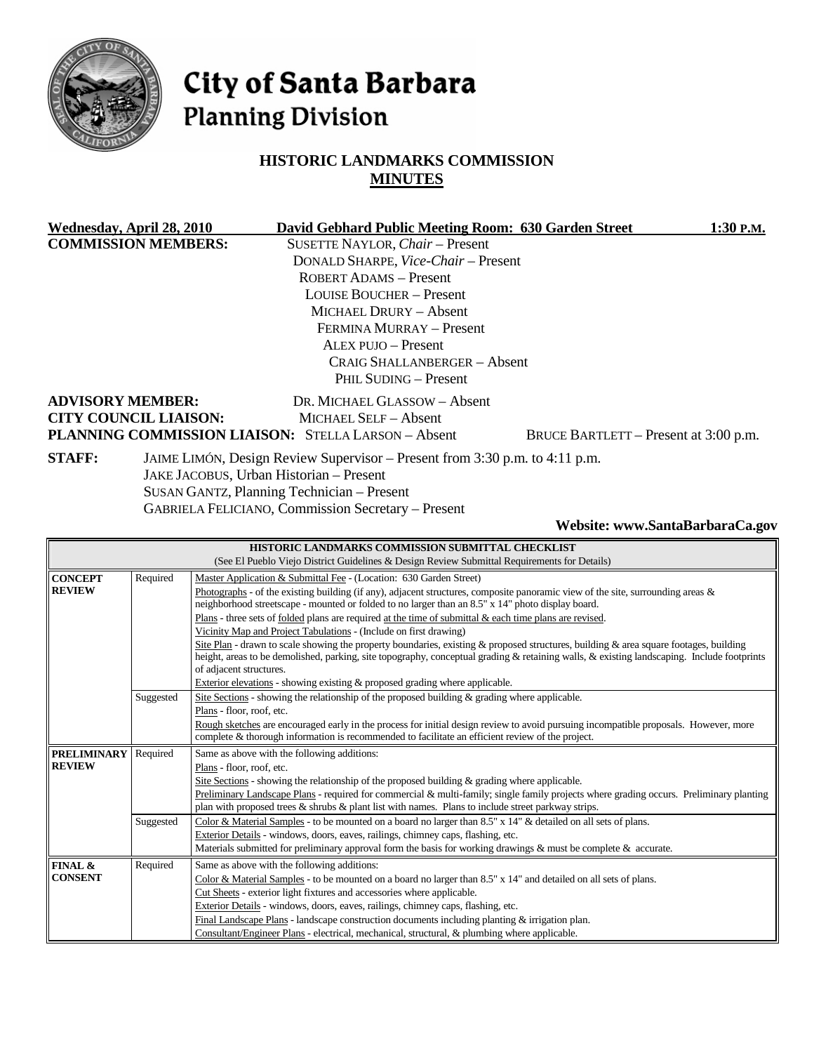

# City of Santa Barbara **Planning Division**

## **HISTORIC LANDMARKS COMMISSION MINUTES**

|               | Wednesday, April 28, 2010    | David Gebhard Public Meeting Room: 630 Garden Street                        |                                       | 1:30 P.M. |
|---------------|------------------------------|-----------------------------------------------------------------------------|---------------------------------------|-----------|
|               | <b>COMMISSION MEMBERS:</b>   | SUSETTE NAYLOR, Chair - Present                                             |                                       |           |
|               |                              | DONALD SHARPE, Vice-Chair - Present                                         |                                       |           |
|               |                              | ROBERT ADAMS - Present                                                      |                                       |           |
|               |                              | <b>LOUISE BOUCHER – Present</b>                                             |                                       |           |
|               |                              | MICHAEL DRURY - Absent                                                      |                                       |           |
|               |                              | FERMINA MURRAY - Present                                                    |                                       |           |
|               |                              | ALEX PUJO - Present                                                         |                                       |           |
|               |                              | CRAIG SHALLANBERGER – Absent                                                |                                       |           |
|               |                              | PHIL SUDING - Present                                                       |                                       |           |
|               | <b>ADVISORY MEMBER:</b>      | DR. MICHAEL GLASSOW - Absent                                                |                                       |           |
|               | <b>CITY COUNCIL LIAISON:</b> | MICHAEL SELF - Absent                                                       |                                       |           |
|               |                              | <b>PLANNING COMMISSION LIAISON: STELLA LARSON - Absent</b>                  | BRUCE BARTLETT - Present at 3:00 p.m. |           |
| <b>STAFF:</b> |                              | JAIME LIMÓN, Design Review Supervisor – Present from 3:30 p.m. to 4:11 p.m. |                                       |           |
|               |                              | JAKE JACOBUS, Urban Historian - Present                                     |                                       |           |
|               |                              | SUSAN GANTZ, Planning Technician - Present                                  |                                       |           |
|               |                              | <b>GABRIELA FELICIANO, Commission Secretary – Present</b>                   |                                       |           |

**Website: www.SantaBarbaraCa.gov** 

| HISTORIC LANDMARKS COMMISSION SUBMITTAL CHECKLIST                                            |           |                                                                                                                                             |  |
|----------------------------------------------------------------------------------------------|-----------|---------------------------------------------------------------------------------------------------------------------------------------------|--|
| (See El Pueblo Viejo District Guidelines & Design Review Submittal Requirements for Details) |           |                                                                                                                                             |  |
| <b>CONCEPT</b>                                                                               | Required  | Master Application & Submittal Fee - (Location: 630 Garden Street)                                                                          |  |
| <b>REVIEW</b>                                                                                |           | Photographs - of the existing building (if any), adjacent structures, composite panoramic view of the site, surrounding areas $\&$          |  |
|                                                                                              |           | neighborhood streetscape - mounted or folded to no larger than an 8.5" x 14" photo display board.                                           |  |
|                                                                                              |           | Plans - three sets of folded plans are required at the time of submittal $\&$ each time plans are revised.                                  |  |
|                                                                                              |           | Vicinity Map and Project Tabulations - (Include on first drawing)                                                                           |  |
|                                                                                              |           | Site Plan - drawn to scale showing the property boundaries, existing $\&$ proposed structures, building $\&$ area square footages, building |  |
|                                                                                              |           | height, areas to be demolished, parking, site topography, conceptual grading & retaining walls, & existing landscaping. Include footprints  |  |
|                                                                                              |           | of adjacent structures.                                                                                                                     |  |
|                                                                                              |           | Exterior elevations - showing existing & proposed grading where applicable.                                                                 |  |
|                                                                                              | Suggested | Site Sections - showing the relationship of the proposed building & grading where applicable.                                               |  |
|                                                                                              |           | Plans - floor, roof, etc.                                                                                                                   |  |
|                                                                                              |           | Rough sketches are encouraged early in the process for initial design review to avoid pursuing incompatible proposals. However, more        |  |
|                                                                                              |           | complete & thorough information is recommended to facilitate an efficient review of the project.                                            |  |
| <b>PRELIMINARY</b>                                                                           | Required  | Same as above with the following additions:                                                                                                 |  |
| <b>REVIEW</b>                                                                                |           | Plans - floor, roof, etc.                                                                                                                   |  |
|                                                                                              |           | Site Sections - showing the relationship of the proposed building $\&$ grading where applicable.                                            |  |
|                                                                                              |           | Preliminary Landscape Plans - required for commercial & multi-family; single family projects where grading occurs. Preliminary planting     |  |
|                                                                                              |           | plan with proposed trees $\&$ shrubs $\&$ plant list with names. Plans to include street parkway strips.                                    |  |
|                                                                                              | Suggested | Color & Material Samples - to be mounted on a board no larger than 8.5" x 14" & detailed on all sets of plans.                              |  |
|                                                                                              |           | Exterior Details - windows, doors, eaves, railings, chimney caps, flashing, etc.                                                            |  |
|                                                                                              |           | Materials submitted for preliminary approval form the basis for working drawings & must be complete & accurate.                             |  |
| FINAL &                                                                                      | Required  | Same as above with the following additions:                                                                                                 |  |
| <b>CONSENT</b>                                                                               |           | Color & Material Samples - to be mounted on a board no larger than $8.5" \times 14"$ and detailed on all sets of plans.                     |  |
|                                                                                              |           | Cut Sheets - exterior light fixtures and accessories where applicable.                                                                      |  |
|                                                                                              |           | Exterior Details - windows, doors, eaves, railings, chimney caps, flashing, etc.                                                            |  |
|                                                                                              |           | Final Landscape Plans - landscape construction documents including planting $\&$ irrigation plan.                                           |  |
|                                                                                              |           | Consultant/Engineer Plans - electrical, mechanical, structural, & plumbing where applicable.                                                |  |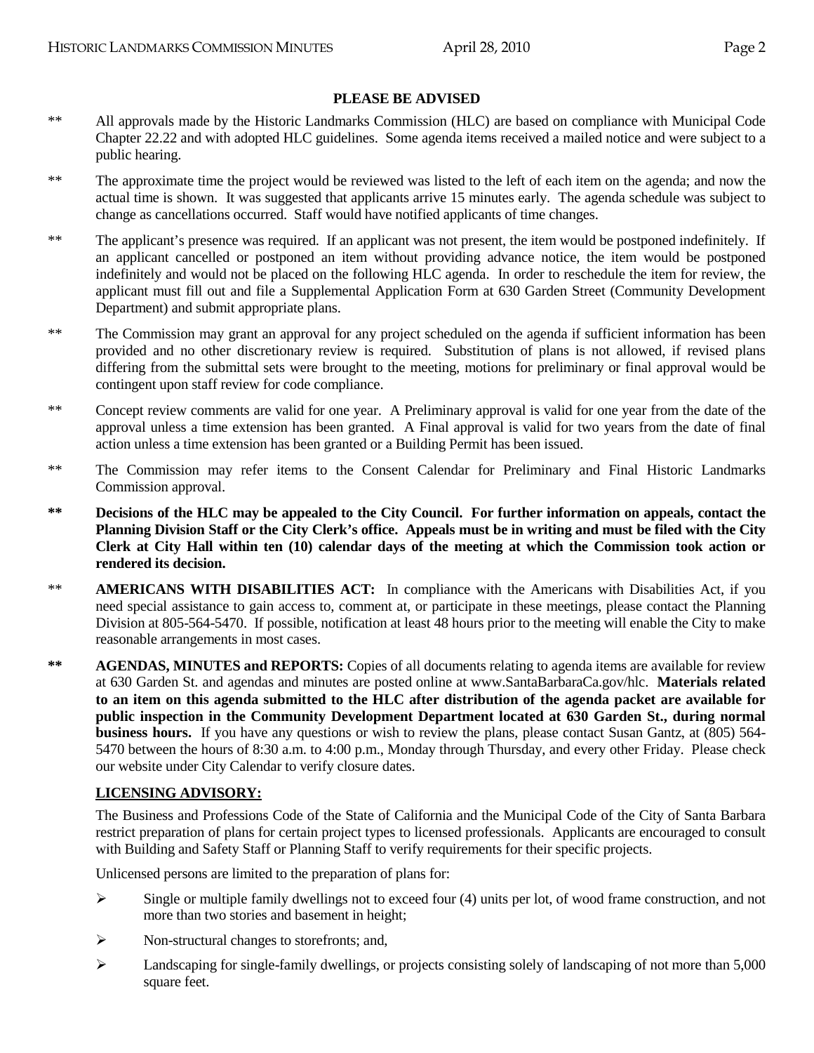#### **PLEASE BE ADVISED**

- \*\* All approvals made by the Historic Landmarks Commission (HLC) are based on compliance with Municipal Code Chapter 22.22 and with adopted HLC guidelines. Some agenda items received a mailed notice and were subject to a public hearing.
- \*\* The approximate time the project would be reviewed was listed to the left of each item on the agenda; and now the actual time is shown. It was suggested that applicants arrive 15 minutes early. The agenda schedule was subject to change as cancellations occurred. Staff would have notified applicants of time changes.
- \*\* The applicant's presence was required. If an applicant was not present, the item would be postponed indefinitely. If an applicant cancelled or postponed an item without providing advance notice, the item would be postponed indefinitely and would not be placed on the following HLC agenda. In order to reschedule the item for review, the applicant must fill out and file a Supplemental Application Form at 630 Garden Street (Community Development Department) and submit appropriate plans.
- \*\* The Commission may grant an approval for any project scheduled on the agenda if sufficient information has been provided and no other discretionary review is required. Substitution of plans is not allowed, if revised plans differing from the submittal sets were brought to the meeting, motions for preliminary or final approval would be contingent upon staff review for code compliance.
- \*\* Concept review comments are valid for one year. A Preliminary approval is valid for one year from the date of the approval unless a time extension has been granted. A Final approval is valid for two years from the date of final action unless a time extension has been granted or a Building Permit has been issued.
- \*\* The Commission may refer items to the Consent Calendar for Preliminary and Final Historic Landmarks Commission approval.
- **\*\* Decisions of the HLC may be appealed to the City Council. For further information on appeals, contact the Planning Division Staff or the City Clerk's office. Appeals must be in writing and must be filed with the City Clerk at City Hall within ten (10) calendar days of the meeting at which the Commission took action or rendered its decision.**
- \*\* **AMERICANS WITH DISABILITIES ACT:** In compliance with the Americans with Disabilities Act, if you need special assistance to gain access to, comment at, or participate in these meetings, please contact the Planning Division at 805-564-5470. If possible, notification at least 48 hours prior to the meeting will enable the City to make reasonable arrangements in most cases.
- **\*\* AGENDAS, MINUTES and REPORTS:** Copies of all documents relating to agenda items are available for review at 630 Garden St. and agendas and minutes are posted online at www.SantaBarbaraCa.gov/hlc. **Materials related to an item on this agenda submitted to the HLC after distribution of the agenda packet are available for public inspection in the Community Development Department located at 630 Garden St., during normal business hours.** If you have any questions or wish to review the plans, please contact Susan Gantz, at (805) 564- 5470 between the hours of 8:30 a.m. to 4:00 p.m., Monday through Thursday, and every other Friday. Please check our website under City Calendar to verify closure dates.

#### **LICENSING ADVISORY:**

The Business and Professions Code of the State of California and the Municipal Code of the City of Santa Barbara restrict preparation of plans for certain project types to licensed professionals. Applicants are encouraged to consult with Building and Safety Staff or Planning Staff to verify requirements for their specific projects.

Unlicensed persons are limited to the preparation of plans for:

- $\triangleright$  Single or multiple family dwellings not to exceed four (4) units per lot, of wood frame construction, and not more than two stories and basement in height;
- $\triangleright$  Non-structural changes to storefronts; and,
- Landscaping for single-family dwellings, or projects consisting solely of landscaping of not more than 5,000 square feet.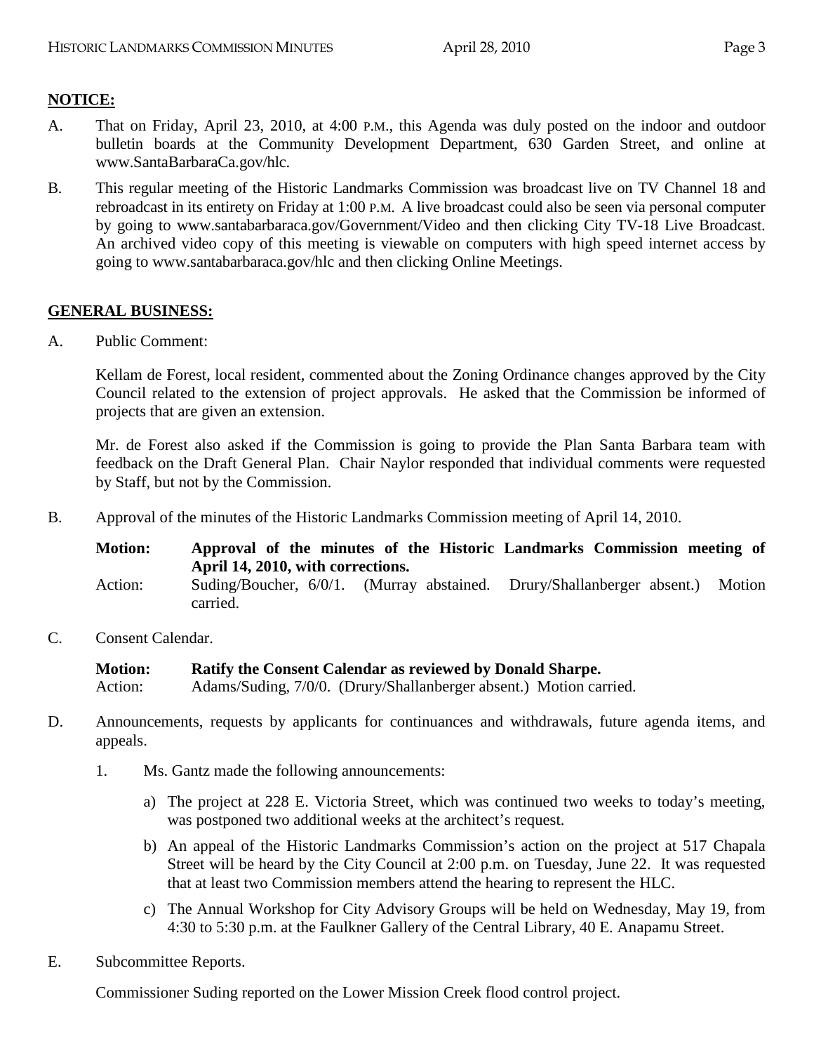## **NOTICE:**

- A. That on Friday, April 23, 2010, at 4:00 P.M., this Agenda was duly posted on the indoor and outdoor bulletin boards at the Community Development Department, 630 Garden Street, and online at www.SantaBarbaraCa.gov/hlc.
- B. This regular meeting of the Historic Landmarks Commission was broadcast live on TV Channel 18 and rebroadcast in its entirety on Friday at 1:00 P.M. A live broadcast could also be seen via personal computer by going to www.santabarbaraca.gov/Government/Video and then clicking City TV-18 Live Broadcast. An archived video copy of this meeting is viewable on computers with high speed internet access by going to www.santabarbaraca.gov/hlc and then clicking Online Meetings.

#### **GENERAL BUSINESS:**

A. Public Comment:

Kellam de Forest, local resident, commented about the Zoning Ordinance changes approved by the City Council related to the extension of project approvals. He asked that the Commission be informed of projects that are given an extension.

Mr. de Forest also asked if the Commission is going to provide the Plan Santa Barbara team with feedback on the Draft General Plan. Chair Naylor responded that individual comments were requested by Staff, but not by the Commission.

- B. Approval of the minutes of the Historic Landmarks Commission meeting of April 14, 2010.
	- **Motion: Approval of the minutes of the Historic Landmarks Commission meeting of April 14, 2010, with corrections.**  Action: Suding/Boucher, 6/0/1. (Murray abstained. Drury/Shallanberger absent.) Motion carried.
- C. Consent Calendar.

**Motion: Ratify the Consent Calendar as reviewed by Donald Sharpe.**  Action: Adams/Suding, 7/0/0. (Drury/Shallanberger absent.) Motion carried.

- D. Announcements, requests by applicants for continuances and withdrawals, future agenda items, and appeals.
	- 1. Ms. Gantz made the following announcements:
		- a) The project at 228 E. Victoria Street, which was continued two weeks to today's meeting, was postponed two additional weeks at the architect's request.
		- b) An appeal of the Historic Landmarks Commission's action on the project at 517 Chapala Street will be heard by the City Council at 2:00 p.m. on Tuesday, June 22. It was requested that at least two Commission members attend the hearing to represent the HLC.
		- c) The Annual Workshop for City Advisory Groups will be held on Wednesday, May 19, from 4:30 to 5:30 p.m. at the Faulkner Gallery of the Central Library, 40 E. Anapamu Street.
- E. Subcommittee Reports.

Commissioner Suding reported on the Lower Mission Creek flood control project.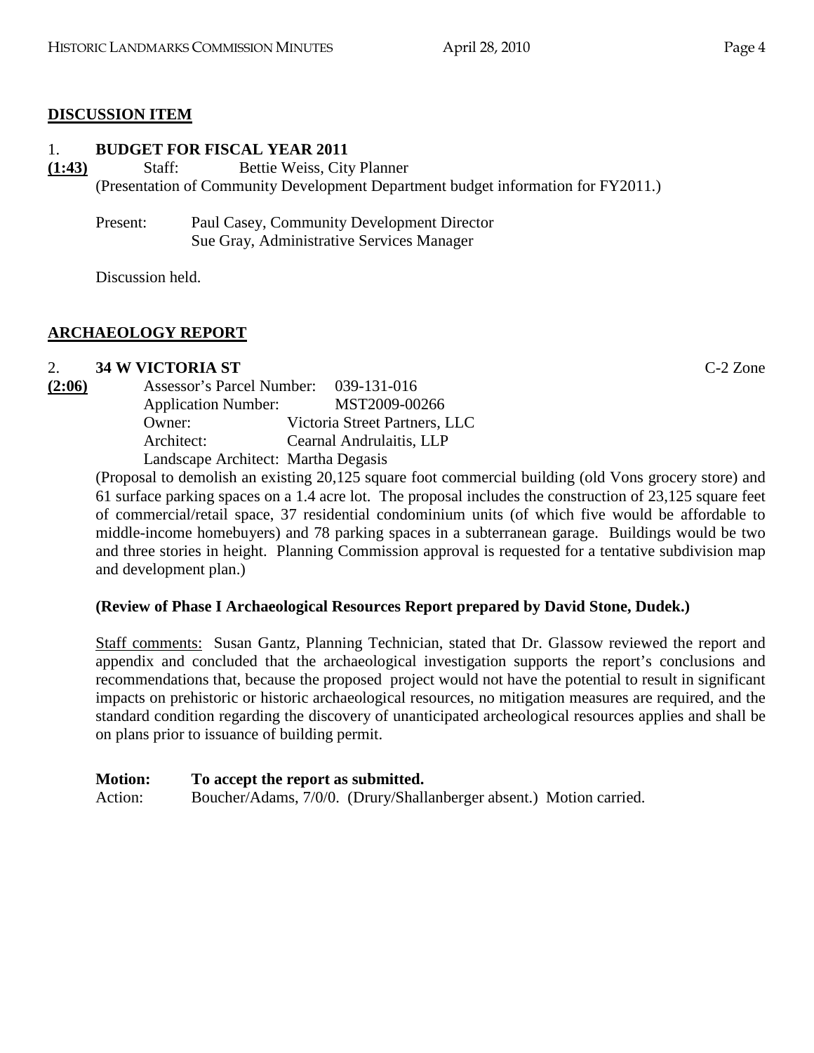# **DISCUSSION ITEM**

#### 1. **BUDGET FOR FISCAL YEAR 2011**

**(1:43)** Staff: Bettie Weiss, City Planner (Presentation of Community Development Department budget information for FY2011.)

Present: Paul Casey, Community Development Director Sue Gray, Administrative Services Manager

Discussion held.

# **ARCHAEOLOGY REPORT**

## 2. **34 W VICTORIA ST** C-2 Zone

| (2:06) | <b>Assessor's Parcel Number:</b>    | 039-131-016                   |
|--------|-------------------------------------|-------------------------------|
|        | <b>Application Number:</b>          | MST2009-00266                 |
|        | Owner:                              | Victoria Street Partners, LLC |
|        | Architect:                          | Cearnal Andrulaitis, LLP      |
|        | Landscape Architect: Martha Degasis |                               |

(Proposal to demolish an existing 20,125 square foot commercial building (old Vons grocery store) and 61 surface parking spaces on a 1.4 acre lot. The proposal includes the construction of 23,125 square feet of commercial/retail space, 37 residential condominium units (of which five would be affordable to middle-income homebuyers) and 78 parking spaces in a subterranean garage. Buildings would be two and three stories in height. Planning Commission approval is requested for a tentative subdivision map and development plan.)

## **(Review of Phase I Archaeological Resources Report prepared by David Stone, Dudek.)**

Staff comments: Susan Gantz, Planning Technician, stated that Dr. Glassow reviewed the report and appendix and concluded that the archaeological investigation supports the report's conclusions and recommendations that, because the proposed project would not have the potential to result in significant impacts on prehistoric or historic archaeological resources, no mitigation measures are required, and the standard condition regarding the discovery of unanticipated archeological resources applies and shall be on plans prior to issuance of building permit.

| <b>Motion:</b> | To accept the report as submitted. |                                                                     |  |
|----------------|------------------------------------|---------------------------------------------------------------------|--|
| Action:        |                                    | Boucher/Adams, 7/0/0. (Drury/Shallanberger absent.) Motion carried. |  |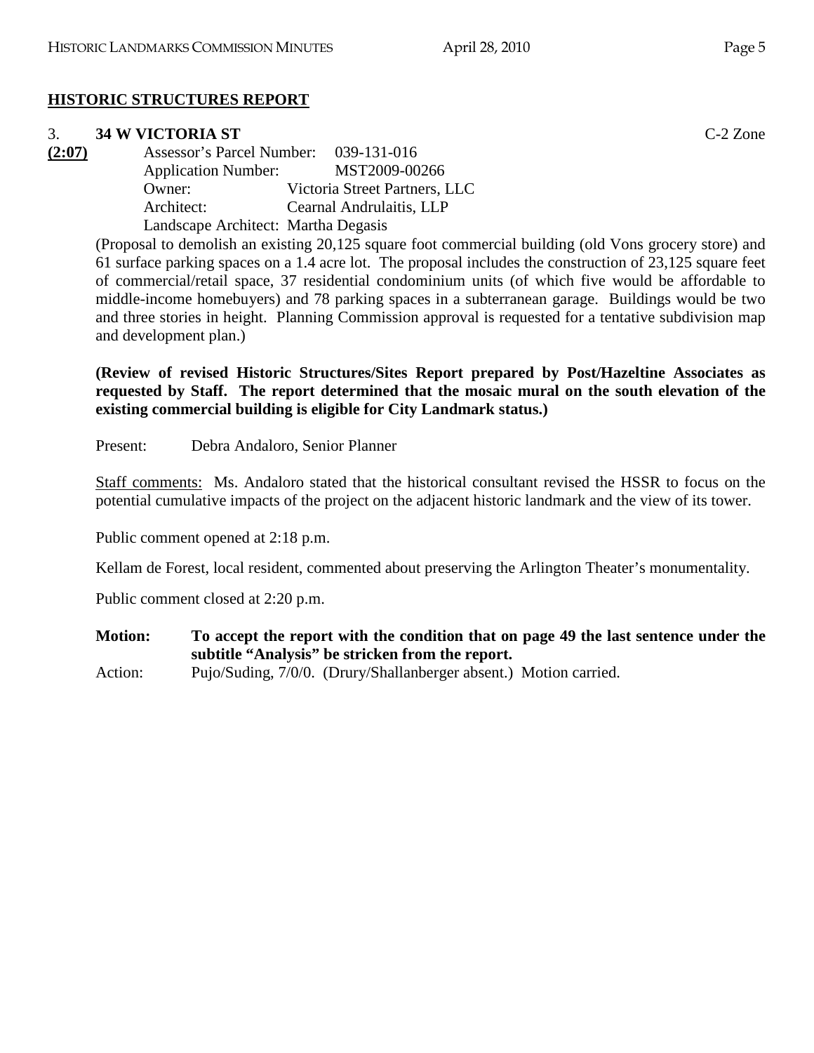# **HISTORIC STRUCTURES REPORT**

#### 3. **34 W VICTORIA ST** C-2 Zone

**(2:07)** Assessor's Parcel Number: 039-131-016 Application Number: MST2009-00266 Owner: Victoria Street Partners, LLC Architect: Cearnal Andrulaitis, LLP Landscape Architect: Martha Degasis

(Proposal to demolish an existing 20,125 square foot commercial building (old Vons grocery store) and 61 surface parking spaces on a 1.4 acre lot. The proposal includes the construction of 23,125 square feet of commercial/retail space, 37 residential condominium units (of which five would be affordable to middle-income homebuyers) and 78 parking spaces in a subterranean garage. Buildings would be two and three stories in height. Planning Commission approval is requested for a tentative subdivision map and development plan.)

**(Review of revised Historic Structures/Sites Report prepared by Post/Hazeltine Associates as requested by Staff. The report determined that the mosaic mural on the south elevation of the existing commercial building is eligible for City Landmark status.)** 

Present: Debra Andaloro, Senior Planner

Staff comments: Ms. Andaloro stated that the historical consultant revised the HSSR to focus on the potential cumulative impacts of the project on the adjacent historic landmark and the view of its tower.

Public comment opened at 2:18 p.m.

Kellam de Forest, local resident, commented about preserving the Arlington Theater's monumentality.

Public comment closed at 2:20 p.m.

**Motion: To accept the report with the condition that on page 49 the last sentence under the subtitle "Analysis" be stricken from the report.** 

Action: Pujo/Suding, 7/0/0. (Drury/Shallanberger absent.) Motion carried.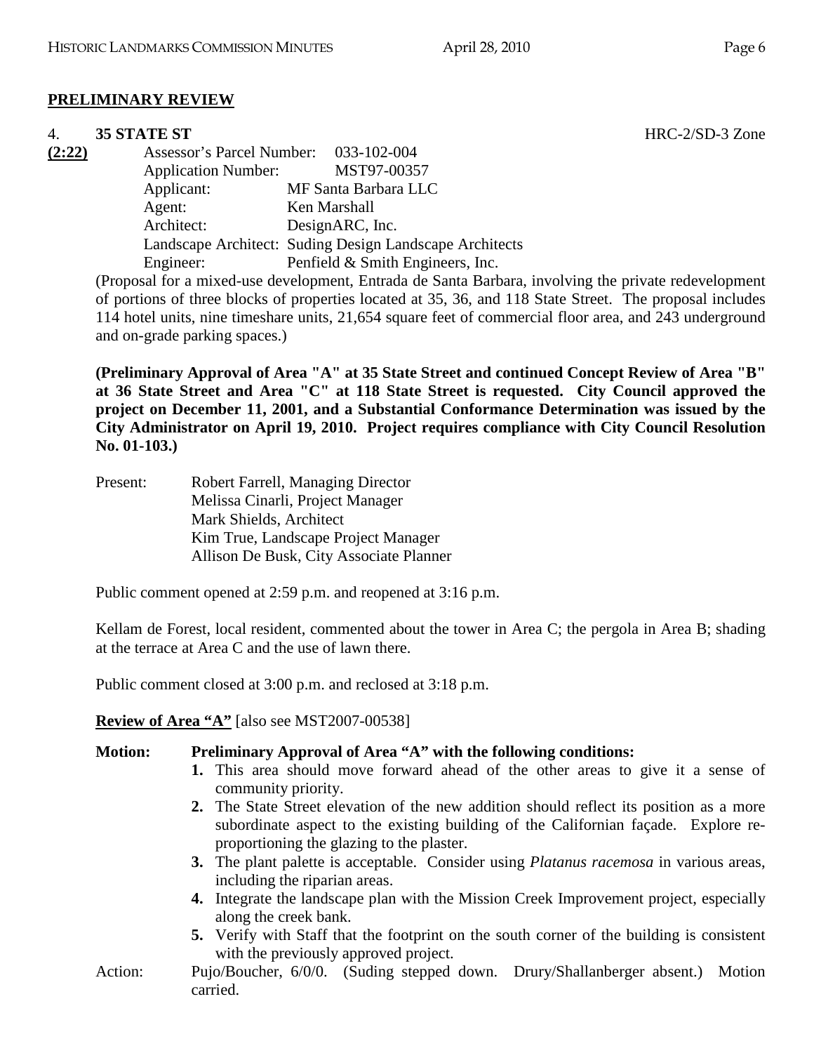#### **PRELIMINARY REVIEW**

#### 4. **35 STATE ST** HRC-2/SD-3 Zone

**(2:22)** Assessor's Parcel Number: 033-102-004 Application Number: MST97-00357 Applicant: MF Santa Barbara LLC Agent: Ken Marshall Architect: DesignARC, Inc. Landscape Architect: Suding Design Landscape Architects Engineer: Penfield & Smith Engineers, Inc.

(Proposal for a mixed-use development, Entrada de Santa Barbara, involving the private redevelopment of portions of three blocks of properties located at 35, 36, and 118 State Street. The proposal includes 114 hotel units, nine timeshare units, 21,654 square feet of commercial floor area, and 243 underground and on-grade parking spaces.)

**(Preliminary Approval of Area "A" at 35 State Street and continued Concept Review of Area "B" at 36 State Street and Area "C" at 118 State Street is requested. City Council approved the project on December 11, 2001, and a Substantial Conformance Determination was issued by the City Administrator on April 19, 2010. Project requires compliance with City Council Resolution No. 01-103.)** 

| Present: | Robert Farrell, Managing Director       |
|----------|-----------------------------------------|
|          | Melissa Cinarli, Project Manager        |
|          | Mark Shields, Architect                 |
|          | Kim True, Landscape Project Manager     |
|          | Allison De Busk, City Associate Planner |

Public comment opened at 2:59 p.m. and reopened at 3:16 p.m.

Kellam de Forest, local resident, commented about the tower in Area C; the pergola in Area B; shading at the terrace at Area C and the use of lawn there.

Public comment closed at 3:00 p.m. and reclosed at 3:18 p.m.

**Review of Area "A"** [also see MST2007-00538]

#### **Motion: Preliminary Approval of Area "A" with the following conditions:**

- **1.** This area should move forward ahead of the other areas to give it a sense of community priority.
- **2.** The State Street elevation of the new addition should reflect its position as a more subordinate aspect to the existing building of the Californian façade. Explore reproportioning the glazing to the plaster.
- **3.** The plant palette is acceptable. Consider using *Platanus racemosa* in various areas, including the riparian areas.
- **4.** Integrate the landscape plan with the Mission Creek Improvement project, especially along the creek bank.
- **5.** Verify with Staff that the footprint on the south corner of the building is consistent with the previously approved project.
- Action: Pujo/Boucher, 6/0/0. (Suding stepped down. Drury/Shallanberger absent.) Motion carried.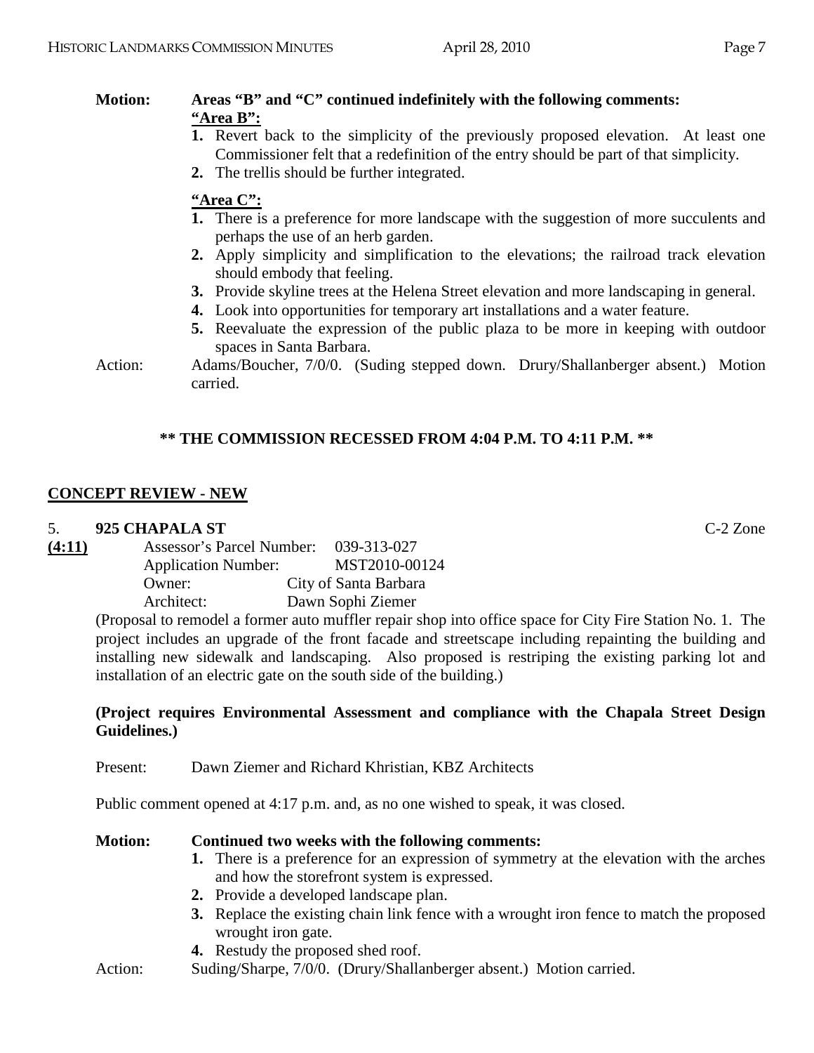## **Motion: Areas "B" and "C" continued indefinitely with the following comments: "Area B":**

- **1.** Revert back to the simplicity of the previously proposed elevation. At least one Commissioner felt that a redefinition of the entry should be part of that simplicity.
- **2.** The trellis should be further integrated.

#### **"Area C":**

- **1.** There is a preference for more landscape with the suggestion of more succulents and perhaps the use of an herb garden.
- **2.** Apply simplicity and simplification to the elevations; the railroad track elevation should embody that feeling.
- **3.** Provide skyline trees at the Helena Street elevation and more landscaping in general.
- **4.** Look into opportunities for temporary art installations and a water feature.
- **5.** Reevaluate the expression of the public plaza to be more in keeping with outdoor spaces in Santa Barbara.

Action: Adams/Boucher, 7/0/0. (Suding stepped down. Drury/Shallanberger absent.) Motion carried.

## **\*\* THE COMMISSION RECESSED FROM 4:04 P.M. TO 4:11 P.M. \*\***

## **CONCEPT REVIEW - NEW**

#### 5. **925 CHAPALA ST** C-2 Zone

| (4:11) | Assessor's Parcel Number:  |  | 039-313-027           |  |
|--------|----------------------------|--|-----------------------|--|
|        | <b>Application Number:</b> |  | MST2010-00124         |  |
|        | Owner:                     |  | City of Santa Barbara |  |
|        | Architect:                 |  | Dawn Sophi Ziemer     |  |
|        |                            |  |                       |  |

(Proposal to remodel a former auto muffler repair shop into office space for City Fire Station No. 1. The project includes an upgrade of the front facade and streetscape including repainting the building and installing new sidewalk and landscaping. Also proposed is restriping the existing parking lot and installation of an electric gate on the south side of the building.)

#### **(Project requires Environmental Assessment and compliance with the Chapala Street Design Guidelines.)**

Present: Dawn Ziemer and Richard Khristian, KBZ Architects

Public comment opened at 4:17 p.m. and, as no one wished to speak, it was closed.

#### **Motion: Continued two weeks with the following comments:**

- **1.** There is a preference for an expression of symmetry at the elevation with the arches and how the storefront system is expressed.
- **2.** Provide a developed landscape plan.
- **3.** Replace the existing chain link fence with a wrought iron fence to match the proposed wrought iron gate.
- **4.** Restudy the proposed shed roof.
- Action: Suding/Sharpe, 7/0/0. (Drury/Shallanberger absent.) Motion carried.